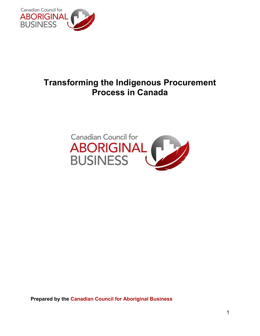

# **Transforming the Indigenous Procurement Process in Canada**



**Prepared by the Canadian Council for Aboriginal Business**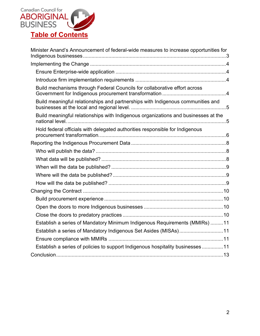

| Minister Anand's Announcement of federal-wide measures to increase opportunities for |
|--------------------------------------------------------------------------------------|
|                                                                                      |
|                                                                                      |
|                                                                                      |
| Build mechanisms through Federal Councils for collaborative effort across            |
| Build meaningful relationships and partnerships with Indigenous communities and      |
| Build meaningful relationships with Indigenous organizations and businesses at the   |
| Hold federal officials with delegated authorities responsible for Indigenous         |
|                                                                                      |
|                                                                                      |
|                                                                                      |
|                                                                                      |
|                                                                                      |
|                                                                                      |
|                                                                                      |
|                                                                                      |
|                                                                                      |
|                                                                                      |
| Establish a series of Mandatory Minimum Indigenous Requirements (MMIRs) 11           |
| Establish a series of Mandatory Indigenous Set Asides (MISAs)11                      |
|                                                                                      |
| Establish a series of policies to support Indigenous hospitality businesses 11       |
|                                                                                      |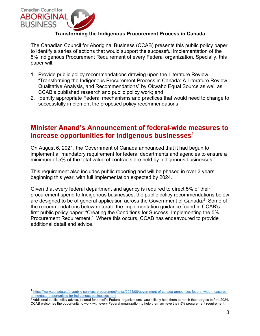

# **Transforming the Indigenous Procurement Process in Canada**

The Canadian Council for Aboriginal Business (CCAB) presents this public policy paper to identify a series of actions that would support the successful implementation of the 5% Indigenous Procurement Requirement of every Federal organization. Specially, this paper will:

- 1. Provide public policy recommendations drawing upon the Literature Review "Transforming the Indigenous Procurement Process in Canada: A Literature Review, Qualitative Analysis, and Recommendations" by Okwaho Equal Source as well as CCAB's published research and public policy work; and
- 2. Identify appropriate Federal mechanisms and practices that would need to change to successfully implement the proposed policy recommendations

# **Minister Anand's Announcement of federal-wide measures to increase opportunities for Indigenous businesses1**

On August 6, 2021, the Government of Canada announced that it had begun to implement a "mandatory requirement for federal departments and agencies to ensure a minimum of 5% of the total value of contracts are held by Indigenous businesses."

This requirement also includes public reporting and will be phased in over 3 years, beginning this year, with full implementation expected by 2024.

Given that every federal department and agency is required to direct 5% of their procurement spend to Indigenous businesses, the public policy recommendations below are designed to be of general application across the Government of Canada.<sup>2</sup> Some of the recommendations below reiterate the implementation guidance found in CCAB's first public policy paper: "Creating the Conditions for Success: Implementing the 5% Procurement Requirement." Where this occurs, CCAB has endeavoured to provide additional detail and advice.

<sup>1</sup> https://www.canada.ca/en/public-services-procurement/news/2021/08/government-of-canada-announces-federal-wide-measuresto-increase-opportunities-for-indigenous-businesses.html

 $^2$  Additional public policy advice, tailored for specific Federal organizations, would likely help them to reach their targets before 2024. CCAB welcomes the opportunity to work with every Federal organization to help them achieve their 5% procurement requirement.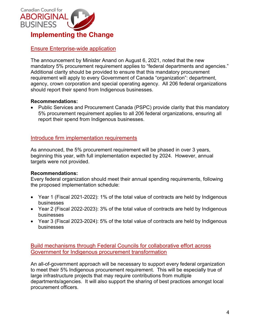

# Ensure Enterprise-wide application

The announcement by Minister Anand on August 6, 2021, noted that the new mandatory 5% procurement requirement applies to "federal departments and agencies." Additional clarity should be provided to ensure that this mandatory procurement requirement will apply to every Government of Canada "organization": department, agency, crown corporation and special operating agency. All 206 federal organizations should report their spend from Indigenous businesses.

#### **Recommendations:**

• Public Services and Procurement Canada (PSPC) provide clarity that this mandatory 5% procurement requirement applies to all 206 federal organizations, ensuring all report their spend from Indigenous businesses.

# Introduce firm implementation requirements

As announced, the 5% procurement requirement will be phased in over 3 years, beginning this year, with full implementation expected by 2024. However, annual targets were not provided.

# **Recommendations:**

Every federal organization should meet their annual spending requirements, following the proposed implementation schedule:

- Year 1 (Fiscal 2021-2022): 1% of the total value of contracts are held by Indigenous businesses
- Year 2 (Fiscal 2022-2023): 3% of the total value of contracts are held by Indigenous businesses
- Year 3 (Fiscal 2023-2024): 5% of the total value of contracts are held by Indigenous businesses

Build mechanisms through Federal Councils for collaborative effort across Government for Indigenous procurement transformation

An all-of-government approach will be necessary to support every federal organization to meet their 5% Indigenous procurement requirement. This will be especially true of large infrastructure projects that may require contributions from multiple departments/agencies. It will also support the sharing of best practices amongst local procurement officers.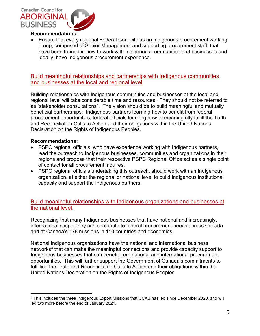

• Ensure that every regional Federal Council has an Indigenous procurement working group, composed of Senior Management and supporting procurement staff, that have been trained in how to work with Indigenous communities and businesses and ideally, have Indigenous procurement experience.

Build meaningful relationships and partnerships with Indigenous communities and businesses at the local and regional level.

Building relationships with Indigenous communities and businesses at the local and regional level will take considerable time and resources. They should not be referred to as "stakeholder consultations". The vision should be to build meaningful and mutually beneficial partnerships: Indigenous partners learning how to benefit from federal procurement opportunities, federal officials learning how to meaningfully fulfill the Truth and Reconciliation Calls to Action and their obligations within the United Nations Declaration on the Rights of Indigenous Peoples.

#### **Recommendations:**

- PSPC regional officials, who have experience working with Indigenous partners, lead the outreach to Indigenous businesses, communities and organizations in their regions and propose that their respective PSPC Regional Office act as a single point of contact for all procurement inquires.
- PSPC regional officials undertaking this outreach, should work with an Indigenous organization, at either the regional or national level to build Indigenous institutional capacity and support the Indigenous partners.

Build meaningful relationships with Indigenous organizations and businesses at the national level.

Recognizing that many Indigenous businesses that have national and increasingly, international scope, they can contribute to federal procurement needs across Canada and at Canada's 178 missions in 110 countries and economies.

National Indigenous organizations have the national and international business networks<sup>3</sup> that can make the meaningful connections and provide capacity support to Indigenous businesses that can benefit from national and international procurement opportunities. This will further support the Government of Canada's commitments to fulfilling the Truth and Reconciliation Calls to Action and their obligations within the United Nations Declaration on the Rights of Indigenous Peoples.

<sup>&</sup>lt;sup>3</sup> This includes the three Indigenous Export Missions that CCAB has led since December 2020, and will led two more before the end of January 2021.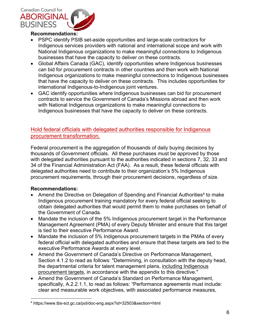

- PSPC identify PSIB set-aside opportunities and large-scale contractors for Indigenous services providers with national and international scope and work with National Indigenous organizations to make meaningful connections to Indigenous businesses that have the capacity to deliver on these contracts.
- Global Affairs Canada (GAC), identify opportunities where Indigenous businesses can bid for procurement contracts in other countries and then work with National Indigenous organizations to make meaningful connections to Indigenous businesses that have the capacity to deliver on these contracts. This includes opportunities for international Indigenous-to-Indigenous joint ventures.
- GAC identify opportunities where Indigenous businesses can bid for procurement contracts to service the Government of Canada's Missions abroad and then work with National Indigenous organizations to make meaningful connections to Indigenous businesses that have the capacity to deliver on these contracts.

# Hold federal officials with delegated authorities responsible for Indigenous procurement transformation.

Federal procurement is the aggregation of thousands of daily buying decisions by thousands of Government officials. All these purchases must be approved by those with delegated authorities pursuant to the authorities indicated in sections 7, 32, 33 and 34 of the Financial Administration Act (FAA). As a result, these federal officials with delegated authorities need to contribute to their organization's 5% Indigenous procurement requirements, through their procurement decisions, regardless of size.

# **Recommendations:**

- Amend the Directive on Delegation of Spending and Financial Authorities<sup>4</sup> to make Indigenous procurement training mandatory for every federal official seeking to obtain delegated authorities that would permit them to make purchases on behalf of the Government of Canada.
- Mandate the inclusion of the 5% Indigenous procurement target in the Performance Management Agreement (PMA) of every Deputy Minister and ensure that this target is tied to their executive Performance Award.
- Mandate the inclusion of 5% Indigenous procurement targets in the PMAs of every federal official with delegated authorities and ensure that these targets are tied to the executive Performance Awards at every level.
- Amend the Government of Canada's Directive on Performance Management, Section 4.1.2 to read as follows: "Determining, in consultation with the deputy head, the departmental criteria for talent management plans, including Indigenous procurement targets, in accordance with the appendix to this directive."
- Amend the Government of Canada's Standard on Performance Management, specifically, A.2.2.1.1, to read as follows: "Performance agreements must include: clear and measurable work objectives, with associated performance measures,

<sup>&</sup>lt;sup>4</sup> https://www.tbs-sct.gc.ca/pol/doc-eng.aspx?id=32503&section=html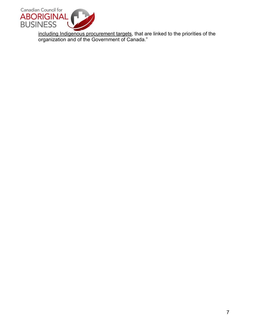

including Indigenous procurement targets, that are linked to the priorities of the organization and of the Government of Canada."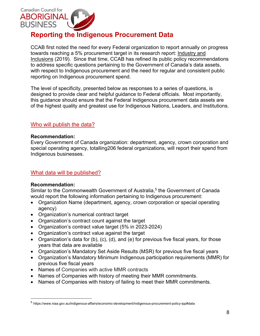

# **Reporting the Indigenous Procurement Data**

CCAB first noted the need for every Federal organization to report annually on progress towards reaching a 5% procurement target in its research report: Industry and Inclusions (2019). Since that time, CCAB has refined its public policy recommendations to address specific questions pertaining to the Government of Canada's data assets, with respect to Indigenous procurement and the need for regular and consistent public reporting on Indigenous procurement spend.

The level of specificity, presented below as responses to a series of questions, is designed to provide clear and helpful guidance to Federal officials. Most importantly, this guidance should ensure that the Federal Indigenous procurement data assets are of the highest quality and greatest use for Indigenous Nations, Leaders, and Institutions.

# Who will publish the data?

#### **Recommendation:**

Every Government of Canada organization: department, agency, crown corporation and special operating agency, totalling206 federal organizations, will report their spend from Indigenous businesses.

# What data will be published?

# **Recommendation:**

Similar to the Commonwealth Government of Australia,<sup>5</sup> the Government of Canada would report the following information pertaining to Indigenous procurement:

- Organization Name (department, agency, crown corporation or special operating agency)
- Organization's numerical contract target
- Organization's contract count against the target
- Organization's contract value target (5% in 2023-2024)
- Organization's contract value against the target
- Organization's data for (b), (c), (d), and (e) for previous five fiscal years, for those years that data are available
- Organization's Mandatory Set Aside Results (MSR) for previous five fiscal years
- Organization's Mandatory Minimum Indigenous participation requirements (MMR) for previous five fiscal years
- Names of Companies with active MMR contracts
- Names of Companies with history of meeting their MMR commitments.
- Names of Companies with history of failing to meet their MMR commitments.

<sup>5</sup> https://www.niaa.gov.au/indigenous-affairs/economic-development/indigenous-procurement-policy-ipp#data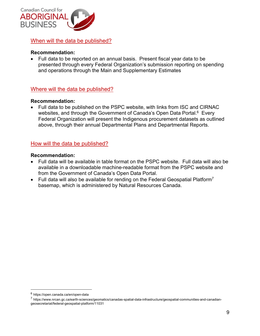

When will the data be published?

# **Recommendation:**

• Full data to be reported on an annual basis. Present fiscal year data to be presented through every Federal Organization's submission reporting on spending and operations through the Main and Supplementary Estimates

# Where will the data be published?

#### **Recommendation:**

• Full data to be published on the PSPC website, with links from ISC and CIRNAC websites, and through the Government of Canada's Open Data Portal.<sup>6</sup> Every Federal Organization will present the Indigenous procurement datasets as outlined above, through their annual Departmental Plans and Departmental Reports.

# How will the data be published?

#### **Recommendation:**

- Full data will be available in table format on the PSPC website. Full data will also be available in a downloadable machine-readable format from the PSPC website and from the Government of Canada's Open Data Portal.
- Full data will also be available for rending on the Federal Geospatial Platform<sup>7</sup> basemap, which is administered by Natural Resources Canada.

<sup>6</sup> https://open.canada.ca/en/open-data

<sup>7</sup> https://www.nrcan.gc.ca/earth-sciences/geomatics/canadas-spatial-data-infrastructure/geospatial-communities-and-canadiangeosecretariat/federal-geospatial-platform/11031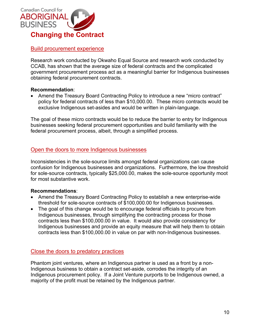

# Build procurement experience

Research work conducted by Okwaho Equal Source and research work conducted by CCAB, has shown that the average size of federal contracts and the complicated government procurement process act as a meaningful barrier for Indigenous businesses obtaining federal procurement contracts.

#### **Recommendation**:

• Amend the Treasury Board Contracting Policy to introduce a new "micro contract" policy for federal contracts of less than \$10,000.00. These micro contracts would be exclusive Indigenous set-asides and would be written in plain-language.

The goal of these micro contracts would be to reduce the barrier to entry for Indigenous businesses seeking federal procurement opportunities and build familiarity with the federal procurement process, albeit, through a simplified process.

#### Open the doors to more Indigenous businesses

Inconsistencies in the sole-source limits amongst federal organizations can cause confusion for Indigenous businesses and organizations. Furthermore, the low threshold for sole-source contracts, typically \$25,000.00, makes the sole-source opportunity moot for most substantive work.

#### **Recommendations**:

- Amend the Treasury Board Contracting Policy to establish a new enterprise-wide threshold for sole-source contracts of \$100,000.00 for Indigenous businesses.
- The goal of this change would be to encourage federal officials to procure from Indigenous businesses, through simplifying the contracting process for those contracts less than \$100,000.00 in value. It would also provide consistency for Indigenous businesses and provide an equity measure that will help them to obtain contracts less than \$100,000.00 in value on par with non-Indigenous businesses.

#### Close the doors to predatory practices

Phantom joint ventures, where an Indigenous partner is used as a front by a non-Indigenous business to obtain a contract set-aside, corrodes the integrity of an Indigenous procurement policy. If a Joint Venture purports to be Indigenous owned, a majority of the profit must be retained by the Indigenous partner.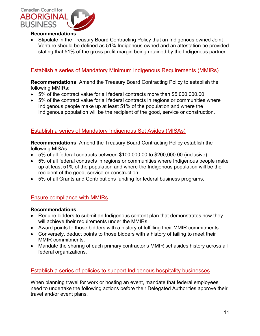

• Stipulate in the Treasury Board Contracting Policy that an Indigenous owned Joint Venture should be defined as 51% Indigenous owned and an attestation be provided stating that 51% of the gross profit margin being retained by the Indigenous partner.

# Establish a series of Mandatory Minimum Indigenous Requirements (MMIRs)

**Recommendations**: Amend the Treasury Board Contracting Policy to establish the following MMIRs:

- 5% of the contract value for all federal contracts more than \$5,000,000.00.
- 5% of the contract value for all federal contracts in regions or communities where Indigenous people make up at least 51% of the population and where the Indigenous population will be the recipient of the good, service or construction.

# Establish a series of Mandatory Indigenous Set Asides (MISAs)

**Recommendations**: Amend the Treasury Board Contracting Policy establish the following MISAs:

- 5% of all federal contracts between \$100,000.00 to \$200,000.00 (inclusive).
- 5% of all federal contracts in regions or communities where Indigenous people make up at least 51% of the population and where the Indigenous population will be the recipient of the good, service or construction.
- 5% of all Grants and Contributions funding for federal business programs.

# Ensure compliance with MMIRs

#### **Recommendations**:

- Require bidders to submit an Indigenous content plan that demonstrates how they will achieve their requirements under the MMIRs.
- Award points to those bidders with a history of fulfilling their MMIR commitments.
- Conversely, deduct points to those bidders with a history of failing to meet their MMIR commitments.
- Mandate the sharing of each primary contractor's MMIR set asides history across all federal organizations.

# Establish a series of policies to support Indigenous hospitality businesses

When planning travel for work or hosting an event, mandate that federal employees need to undertake the following actions before their Delegated Authorities approve their travel and/or event plans.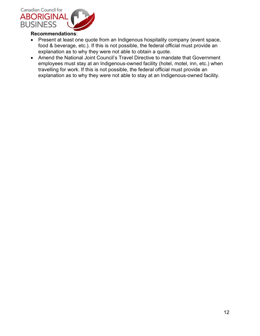

- Present at least one quote from an Indigenous hospitality company (event space, food & beverage, etc.). If this is not possible, the federal official must provide an explanation as to why they were not able to obtain a quote.
- Amend the National Joint Council's Travel Directive to mandate that Government employees must stay at an Indigenous-owned facility (hotel, motel, inn, etc.) when travelling for work. If this is not possible, the federal official must provide an explanation as to why they were not able to stay at an Indigenous-owned facility.